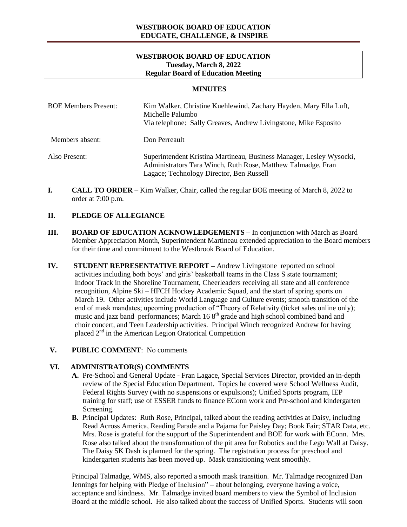## **WESTBROOK BOARD OF EDUCATION Tuesday, March 8, 2022 Regular Board of Education Meeting**

#### **MINUTES**

| <b>BOE Members Present:</b> | Kim Walker, Christine Kuehlewind, Zachary Hayden, Mary Ella Luft,<br>Michelle Palumbo<br>Via telephone: Sally Greaves, Andrew Livingstone, Mike Esposito                         |
|-----------------------------|----------------------------------------------------------------------------------------------------------------------------------------------------------------------------------|
| Members absent:             | Don Perreault                                                                                                                                                                    |
| Also Present:               | Superintendent Kristina Martineau, Business Manager, Lesley Wysocki,<br>Administrators Tara Winch, Ruth Rose, Matthew Talmadge, Fran<br>Lagace; Technology Director, Ben Russell |

**I. CALL TO ORDER** – Kim Walker, Chair, called the regular BOE meeting of March 8, 2022 to order at 7:00 p.m.

#### **II. PLEDGE OF ALLEGIANCE**

- **III. BOARD OF EDUCATION ACKNOWLEDGEMENTS –** In conjunction with March as Board Member Appreciation Month, Superintendent Martineau extended appreciation to the Board members for their time and commitment to the Westbrook Board of Education.
- **IV. STUDENT REPRESENTATIVE REPORT –** Andrew Livingstone reported on school activities including both boys' and girls' basketball teams in the Class S state tournament; Indoor Track in the Shoreline Tournament, Cheerleaders receiving all state and all conference recognition, Alpine Ski – HFCH Hockey Academic Squad, and the start of spring sports on March 19. Other activities include World Language and Culture events; smooth transition of the end of mask mandates; upcoming production of "Theory of Relativity (ticket sales online only); music and jazz band performances; March  $168<sup>th</sup>$  grade and high school combined band and choir concert, and Teen Leadership activities. Principal Winch recognized Andrew for having placed 2nd in the American Legion Oratorical Competition

#### **V. PUBLIC COMMENT**: No comments

#### **VI. ADMINISTRATOR(S) COMMENTS**

- **A.** Pre-School and General Update Fran Lagace, Special Services Director, provided an in-depth review of the Special Education Department. Topics he covered were School Wellness Audit, Federal Rights Survey (with no suspensions or expulsions); Unified Sports program, IEP training for staff; use of ESSER funds to finance EConn work and Pre-school and kindergarten Screening.
- **B.** Principal Updates: Ruth Rose, Principal, talked about the reading activities at Daisy, including Read Across America, Reading Parade and a Pajama for Paisley Day; Book Fair; STAR Data, etc. Mrs. Rose is grateful for the support of the Superintendent and BOE for work with EConn. Mrs. Rose also talked about the transformation of the pit area for Robotics and the Lego Wall at Daisy. The Daisy 5K Dash is planned for the spring. The registration process for preschool and kindergarten students has been moved up. Mask transitioning went smoothly.

Principal Talmadge, WMS, also reported a smooth mask transition. Mr. Talmadge recognized Dan Jennings for helping with Pledge of Inclusion" – about belonging, everyone having a voice, acceptance and kindness. Mr. Talmadge invited board members to view the Symbol of Inclusion Board at the middle school. He also talked about the success of Unified Sports. Students will soon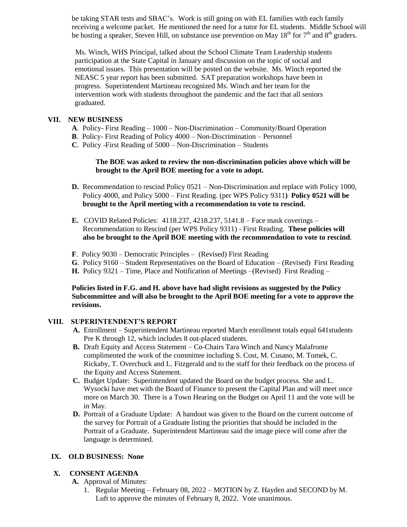be taking STAR tests and SBAC's. Work is still going on with EL families with each family receiving a welcome packet. He mentioned the need for a tutor for EL students. Middle School will be hosting a speaker, Steven Hill, on substance use prevention on May  $18<sup>th</sup>$  for  $7<sup>th</sup>$  and  $8<sup>th</sup>$  graders.

Ms. Winch, WHS Principal, talked about the School Climate Team Leadership students participation at the State Capital in January and discussion on the topic of social and emotional issues. This presentation will be posted on the website. Ms. Winch reported the NEASC 5 year report has been submitted. SAT preparation workshops have been in progress. Superintendent Martineau recognized Ms. Winch and her team for the intervention work with students throughout the pandemic and the fact that all seniors graduated.

## **VII. NEW BUSINESS**

- **A**. Policy- First Reading 1000 Non-Discrimination Community/Board Operation
- **B**. Policy- First Reading of Policy 4000 Non-Discrimination Personnel
- **C**. Policy -First Reading of 5000 Non-Discrimination Students

## **The BOE was asked to review the non-discrimination policies above which will be brought to the April BOE meeting for a vote to adopt.**

- **D.** Recommendation to rescind Policy 0521 Non-Discrimination and replace with Policy 1000, Policy 4000, and Policy 5000 – First Reading. (per WPS Policy 9311**) Policy 0521 will be brought to the April meeting with a recommendation to vote to rescind.**
- **E.** COVID Related Policies: 4118.237, 4218.237, 5141.8 Face mask coverings Recommendation to Rescind (per WPS Policy 9311) - First Reading. **These policies will also be brought to the April BOE meeting with the recommendation to vote to rescind**.
- **F**. Policy 9030 Democratic Principles (Revised) First Reading
- **G**. Policy 9160 Student Representatives on the Board of Education (Revised) First Reading
- **H.** Policy 9321 Time, Place and Notification of Meetings –(Revised) First Reading –

**Policies listed in F.G. and H. above have had slight revisions as suggested by the Policy Subcommittee and will also be brought to the April BOE meeting for a vote to approve the revisions.**

# **VIII. SUPERINTENDENT'S REPORT**

- **A.** Enrollment Superintendent Martineau reported March enrollment totals equal 641students Pre K through 12, which includes 8 out-placed students.
- **B.** Draft Equity and Access Statement Co-Chairs Tara Winch and Nancy Malafronte complimented the work of the committee including S. Cost, M. Cusano, M. Tomek, C. Rickaby, T. Overchuck and L. Fitzgerald and to the staff for their feedback on the process of the Equity and Access Statement.
- **C.** Budget Update: Superintendent updated the Board on the budget process. She and L. Wysocki have met with the Board of Finance to present the Capital Plan and will meet once more on March 30. There is a Town Hearing on the Budget on April 11 and the vote will be in May.
- **D.** Portrait of a Graduate Update: A handout was given to the Board on the current outcome of the survey for Portrait of a Graduate listing the priorities that should be included in the Portrait of a Graduate. Superintendent Martineau said the image piece will come after the language is determined.

# **IX. OLD BUSINESS: None**

# **X. CONSENT AGENDA**

- **A.** Approval of Minutes:
	- 1. Regular Meeting February 08, 2022 MOTION by Z. Hayden and SECOND by M. Luft to approve the minutes of February 8, 2022. Vote unanimous.